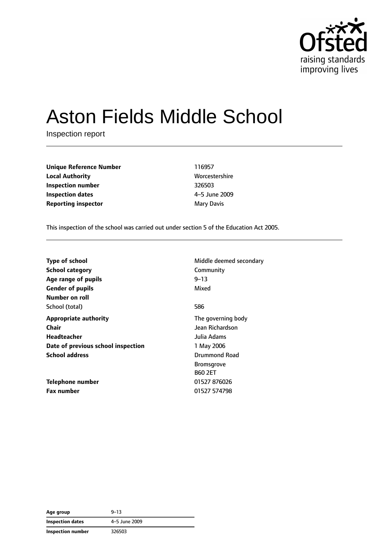

# Aston Fields Middle School

Inspection report

**Unique Reference Number** 116957 **Local Authority** Morcestershire **Inspection number** 326503 **Inspection dates** 4–5 June 2009 **Reporting inspector** Mary Davis

This inspection of the school was carried out under section 5 of the Education Act 2005.

| <b>Type of school</b>              | Middle deemed secondary |
|------------------------------------|-------------------------|
| <b>School category</b>             | Community               |
| Age range of pupils                | $9 - 13$                |
| <b>Gender of pupils</b>            | Mixed                   |
| Number on roll                     |                         |
| School (total)                     | 586                     |
| <b>Appropriate authority</b>       | The governing body      |
| Chair                              | Jean Richardson         |
| Headteacher                        | Julia Adams             |
| Date of previous school inspection | 1 May 2006              |
| <b>School address</b>              | <b>Drummond Road</b>    |
|                                    | <b>Bromsgrove</b>       |
|                                    | <b>B60 2ET</b>          |
| Telephone number                   | 01527 876026            |
| <b>Fax number</b>                  | 01527 574798            |

| Age group                | $9 - 13$      |
|--------------------------|---------------|
| <b>Inspection dates</b>  | 4-5 June 2009 |
| <b>Inspection number</b> | 326503        |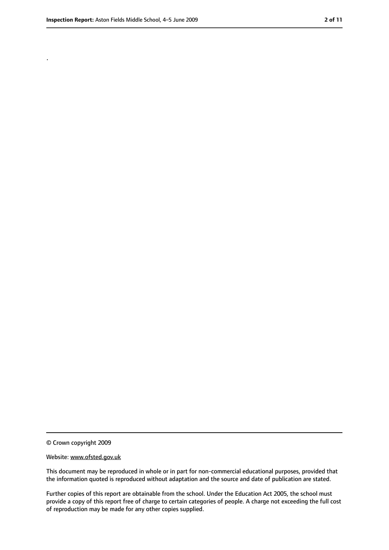.

<sup>©</sup> Crown copyright 2009

Website: www.ofsted.gov.uk

This document may be reproduced in whole or in part for non-commercial educational purposes, provided that the information quoted is reproduced without adaptation and the source and date of publication are stated.

Further copies of this report are obtainable from the school. Under the Education Act 2005, the school must provide a copy of this report free of charge to certain categories of people. A charge not exceeding the full cost of reproduction may be made for any other copies supplied.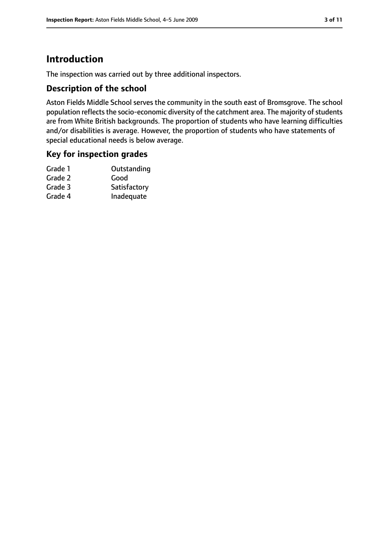# **Introduction**

The inspection was carried out by three additional inspectors.

## **Description of the school**

Aston Fields Middle School serves the community in the south east of Bromsgrove. The school population reflects the socio-economic diversity of the catchment area. The majority of students are from White British backgrounds. The proportion of students who have learning difficulties and/or disabilities is average. However, the proportion of students who have statements of special educational needs is below average.

## **Key for inspection grades**

| Outstanding  |
|--------------|
| Good         |
| Satisfactory |
| Inadequate   |
|              |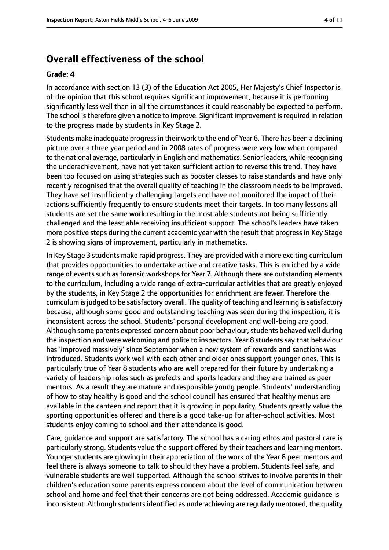# **Overall effectiveness of the school**

#### **Grade: 4**

In accordance with section 13 (3) of the Education Act 2005, Her Majesty's Chief Inspector is of the opinion that this school requires significant improvement, because it is performing significantly less well than in all the circumstances it could reasonably be expected to perform. The school is therefore given a notice to improve. Significant improvement is required in relation to the progress made by students in Key Stage 2.

Students make inadequate progressin their work to the end of Year 6. There has been a declining picture over a three year period and in 2008 rates of progress were very low when compared to the national average, particularly in English and mathematics. Senior leaders, while recognising the underachievement, have not yet taken sufficient action to reverse this trend. They have been too focused on using strategies such as booster classes to raise standards and have only recently recognised that the overall quality of teaching in the classroom needs to be improved. They have set insufficiently challenging targets and have not monitored the impact of their actions sufficiently frequently to ensure students meet their targets. In too many lessons all students are set the same work resulting in the most able students not being sufficiently challenged and the least able receiving insufficient support. The school's leaders have taken more positive steps during the current academic year with the result that progress in Key Stage 2 is showing signs of improvement, particularly in mathematics.

In Key Stage 3 students make rapid progress. They are provided with a more exciting curriculum that provides opportunities to undertake active and creative tasks. This is enriched by a wide range of events such as forensic workshops for Year 7. Although there are outstanding elements to the curriculum, including a wide range of extra-curricular activities that are greatly enjoyed by the students, in Key Stage 2 the opportunities for enrichment are fewer. Therefore the curriculum isjudged to be satisfactory overall. The quality of teaching and learning issatisfactory because, although some good and outstanding teaching was seen during the inspection, it is inconsistent across the school. Students' personal development and well-being are good. Although some parents expressed concern about poor behaviour, students behaved well during the inspection and were welcoming and polite to inspectors. Year 8 students say that behaviour has 'improved massively' since September when a new system of rewards and sanctions was introduced. Students work well with each other and older ones support younger ones. This is particularly true of Year 8 students who are well prepared for their future by undertaking a variety of leadership roles such as prefects and sports leaders and they are trained as peer mentors. As a result they are mature and responsible young people. Students' understanding of how to stay healthy is good and the school council has ensured that healthy menus are available in the canteen and report that it is growing in popularity. Students greatly value the sporting opportunities offered and there is a good take-up for after-school activities. Most students enjoy coming to school and their attendance is good.

Care, guidance and support are satisfactory. The school has a caring ethos and pastoral care is particularly strong. Students value the support offered by their teachers and learning mentors. Younger students are glowing in their appreciation of the work of the Year 8 peer mentors and feel there is always someone to talk to should they have a problem. Students feel safe, and vulnerable students are well supported. Although the school strives to involve parents in their children's education some parents express concern about the level of communication between school and home and feel that their concerns are not being addressed. Academic guidance is inconsistent. Although students identified as underachieving are regularly mentored, the quality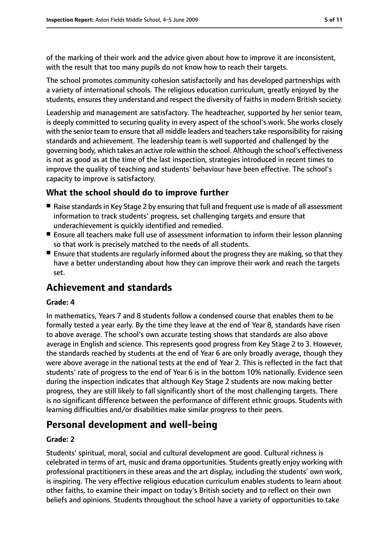of the marking of their work and the advice given about how to improve it are inconsistent, with the result that too many pupils do not know how to reach their targets.

The school promotes community cohesion satisfactorily and has developed partnerships with a variety of international schools. The religious education curriculum, greatly enjoyed by the students, ensures they understand and respect the diversity of faiths in modern British society.

Leadership and management are satisfactory. The headteacher, supported by her senior team, is deeply committed to securing quality in every aspect of the school's work. She works closely with the senior team to ensure that all middle leaders and teachers take responsibility for raising standards and achievement. The leadership team is well supported and challenged by the governing body, which takes an active role within the school. Although the school's effectiveness is not as good as at the time of the last inspection, strategies introduced in recent times to improve the quality of teaching and students' behaviour have been effective. The school's capacity to improve is satisfactory.

## **What the school should do to improve further**

- Raise standards in Key Stage 2 by ensuring that full and frequent use is made of all assessment information to track students' progress, set challenging targets and ensure that underachievement is quickly identified and remedied.
- Ensure all teachers make full use of assessment information to inform their lesson planning so that work is precisely matched to the needs of all students.
- Ensure that students are regularly informed about the progress they are making, so that they have a better understanding about how they can improve their work and reach the targets set.

# **Achievement and standards**

#### **Grade: 4**

In mathematics, Years 7 and 8 students follow a condensed course that enables them to be formally tested a year early. By the time they leave at the end of Year 8, standards have risen to above average. The school's own accurate testing shows that standards are also above average in English and science. This represents good progress from Key Stage 2 to 3. However, the standards reached by students at the end of Year 6 are only broadly average, though they were above average in the national tests at the end of Year 2. This is reflected in the fact that students' rate of progress to the end of Year 6 is in the bottom 10% nationally. Evidence seen during the inspection indicates that although Key Stage 2 students are now making better progress, they are still likely to fall significantly short of the most challenging targets. There is no significant difference between the performance of different ethnic groups. Students with learning difficulties and/or disabilities make similar progress to their peers.

# **Personal development and well-being**

#### **Grade: 2**

Students' spiritual, moral, social and cultural development are good. Cultural richness is celebrated in terms of art, music and drama opportunities. Students greatly enjoy working with professional practitioners in these areas and the art display, including the students' own work, is inspiring. The very effective religious education curriculum enables students to learn about other faiths, to examine their impact on today's British society and to reflect on their own beliefs and opinions. Students throughout the school have a variety of opportunities to take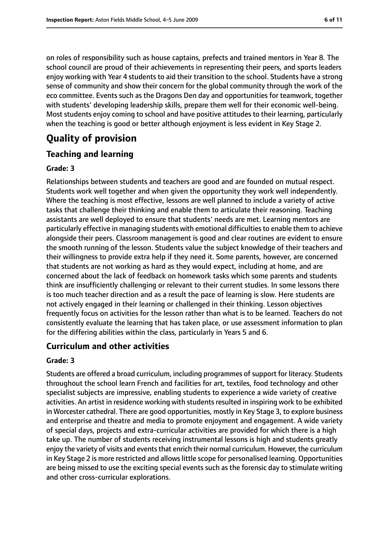on roles of responsibility such as house captains, prefects and trained mentors in Year 8. The school council are proud of their achievements in representing their peers, and sports leaders enjoy working with Year 4 students to aid their transition to the school. Students have a strong sense of community and show their concern for the global community through the work of the eco committee. Events such as the Dragons Den day and opportunities for teamwork, together with students' developing leadership skills, prepare them well for their economic well-being. Most students enjoy coming to school and have positive attitudes to their learning, particularly when the teaching is good or better although enjoyment is less evident in Key Stage 2.

# **Quality of provision**

## **Teaching and learning**

#### **Grade: 3**

Relationships between students and teachers are good and are founded on mutual respect. Students work well together and when given the opportunity they work well independently. Where the teaching is most effective, lessons are well planned to include a variety of active tasks that challenge their thinking and enable them to articulate their reasoning. Teaching assistants are well deployed to ensure that students' needs are met. Learning mentors are particularly effective in managing students with emotional difficultiesto enable them to achieve alongside their peers. Classroom management is good and clear routines are evident to ensure the smooth running of the lesson. Students value the subject knowledge of their teachers and their willingness to provide extra help if they need it. Some parents, however, are concerned that students are not working as hard as they would expect, including at home, and are concerned about the lack of feedback on homework tasks which some parents and students think are insufficiently challenging or relevant to their current studies. In some lessons there is too much teacher direction and as a result the pace of learning is slow. Here students are not actively engaged in their learning or challenged in their thinking. Lesson objectives frequently focus on activities for the lesson rather than what is to be learned. Teachers do not consistently evaluate the learning that has taken place, or use assessment information to plan for the differing abilities within the class, particularly in Years 5 and 6.

### **Curriculum and other activities**

#### **Grade: 3**

Students are offered a broad curriculum, including programmes of support for literacy. Students throughout the school learn French and facilities for art, textiles, food technology and other specialist subjects are impressive, enabling students to experience a wide variety of creative activities. An artist in residence working with students resulted in inspiring work to be exhibited in Worcester cathedral. There are good opportunities, mostly in Key Stage 3, to explore business and enterprise and theatre and media to promote enjoyment and engagement. A wide variety of special days, projects and extra-curricular activities are provided for which there is a high take up. The number of students receiving instrumental lessons is high and students greatly enjoy the variety of visits and events that enrich their normal curriculum. However, the curriculum in Key Stage 2 is more restricted and allows little scope for personalised learning. Opportunities are being missed to use the exciting special events such as the forensic day to stimulate writing and other cross-curricular explorations.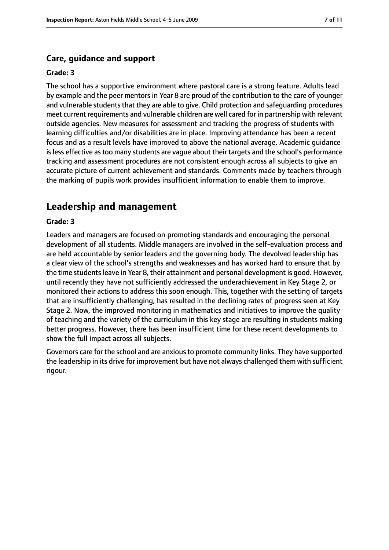#### **Care, guidance and support**

#### **Grade: 3**

The school has a supportive environment where pastoral care is a strong feature. Adults lead by example and the peer mentors in Year 8 are proud of the contribution to the care of younger and vulnerable students that they are able to give. Child protection and safeguarding procedures meet current requirements and vulnerable children are well cared for in partnership with relevant outside agencies. New measures for assessment and tracking the progress of students with learning difficulties and/or disabilities are in place. Improving attendance has been a recent focus and as a result levels have improved to above the national average. Academic guidance is less effective as too many students are vague about their targets and the school's performance tracking and assessment procedures are not consistent enough across all subjects to give an accurate picture of current achievement and standards. Comments made by teachers through the marking of pupils work provides insufficient information to enable them to improve.

# **Leadership and management**

#### **Grade: 3**

Leaders and managers are focused on promoting standards and encouraging the personal development of all students. Middle managers are involved in the self-evaluation process and are held accountable by senior leaders and the governing body. The devolved leadership has a clear view of the school's strengths and weaknesses and has worked hard to ensure that by the time students leave in Year 8, their attainment and personal development is good. However, until recently they have not sufficiently addressed the underachievement in Key Stage 2, or monitored their actions to address this soon enough. This, together with the setting of targets that are insufficiently challenging, has resulted in the declining rates of progress seen at Key Stage 2. Now, the improved monitoring in mathematics and initiatives to improve the quality of teaching and the variety of the curriculum in this key stage are resulting in students making better progress. However, there has been insufficient time for these recent developments to show the full impact across all subjects.

Governors care for the school and are anxious to promote community links. They have supported the leadership in its drive for improvement but have not always challenged them with sufficient rigour.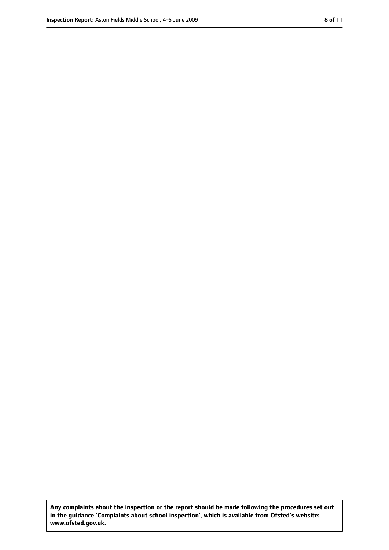**Any complaints about the inspection or the report should be made following the procedures set out in the guidance 'Complaints about school inspection', which is available from Ofsted's website: www.ofsted.gov.uk.**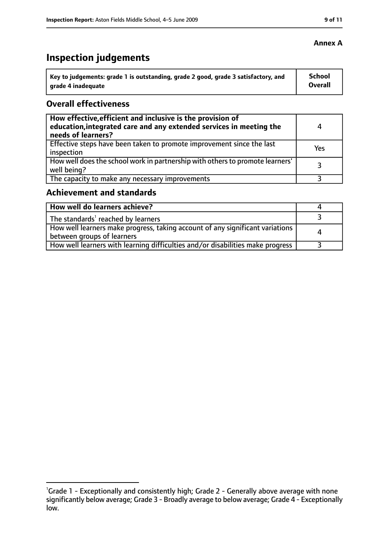# **Inspection judgements**

| ˈ Key to judgements: grade 1 is outstanding, grade 2 good, grade 3 satisfactory, and | <b>School</b>  |
|--------------------------------------------------------------------------------------|----------------|
| arade 4 inadequate                                                                   | <b>Overall</b> |

## **Overall effectiveness**

| How effective, efficient and inclusive is the provision of<br>education, integrated care and any extended services in meeting the<br>needs of learners? | 4   |
|---------------------------------------------------------------------------------------------------------------------------------------------------------|-----|
| Effective steps have been taken to promote improvement since the last<br>inspection                                                                     | Yes |
| How well does the school work in partnership with others to promote learners'<br>well being?                                                            |     |
| The capacity to make any necessary improvements                                                                                                         |     |

# **Achievement and standards**

| How well do learners achieve?                                                                               |  |
|-------------------------------------------------------------------------------------------------------------|--|
| $\vert$ The standards <sup>1</sup> reached by learners                                                      |  |
| How well learners make progress, taking account of any significant variations<br>between groups of learners |  |
| How well learners with learning difficulties and/or disabilities make progress                              |  |

## **Annex A**

<sup>&</sup>lt;sup>1</sup>Grade 1 - Exceptionally and consistently high; Grade 2 - Generally above average with none significantly below average; Grade 3 - Broadly average to below average; Grade 4 - Exceptionally low.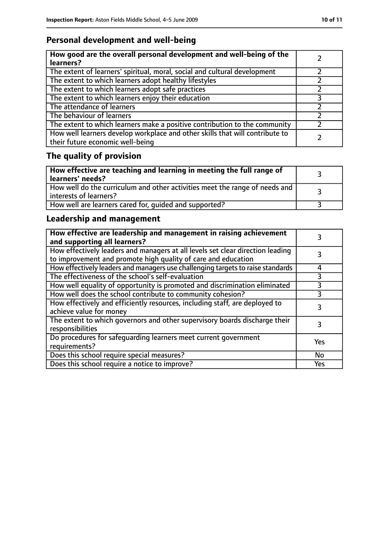# **Personal development and well-being**

| How good are the overall personal development and well-being of the<br>learners?                                 |  |
|------------------------------------------------------------------------------------------------------------------|--|
| The extent of learners' spiritual, moral, social and cultural development                                        |  |
| The extent to which learners adopt healthy lifestyles                                                            |  |
| The extent to which learners adopt safe practices                                                                |  |
| The extent to which learners enjoy their education                                                               |  |
| The attendance of learners                                                                                       |  |
| The behaviour of learners                                                                                        |  |
| The extent to which learners make a positive contribution to the community                                       |  |
| How well learners develop workplace and other skills that will contribute to<br>their future economic well-being |  |

# **The quality of provision**

| How effective are teaching and learning in meeting the full range of<br>learners' needs?                |  |
|---------------------------------------------------------------------------------------------------------|--|
| How well do the curriculum and other activities meet the range of needs and<br>  interests of learners? |  |
| How well are learners cared for, quided and supported?                                                  |  |

# **Leadership and management**

| How effective are leadership and management in raising achievement<br>and supporting all learners?                                              |           |
|-------------------------------------------------------------------------------------------------------------------------------------------------|-----------|
| How effectively leaders and managers at all levels set clear direction leading<br>to improvement and promote high quality of care and education |           |
| How effectively leaders and managers use challenging targets to raise standards                                                                 | 4         |
| The effectiveness of the school's self-evaluation                                                                                               | 3         |
| How well equality of opportunity is promoted and discrimination eliminated                                                                      | 3         |
| How well does the school contribute to community cohesion?                                                                                      | 3         |
| How effectively and efficiently resources, including staff, are deployed to<br>achieve value for money                                          | 3         |
| The extent to which governors and other supervisory boards discharge their<br>responsibilities                                                  | 3         |
| Do procedures for safequarding learners meet current government<br>requirements?                                                                | Yes       |
| Does this school require special measures?                                                                                                      | <b>No</b> |
| Does this school require a notice to improve?                                                                                                   | Yes       |